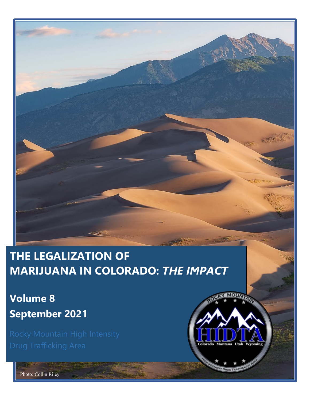## **THE LEGALIZATION OF MARIJUANA IN COLORADO:** *THE IMPACT*

**Volume 8 September 2021**



Photo: Collin Riley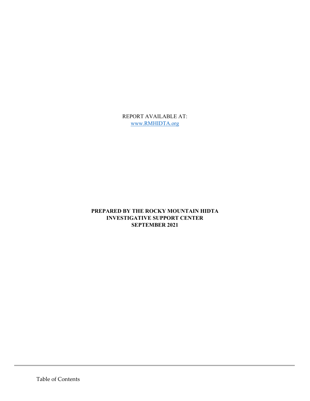REPORT AVAILABLE AT: [www.RMHIDTA.org](https://rmhidta.org/reports)

#### **PREPARED BY THE ROCKY MOUNTAIN HIDTA INVESTIGATIVE SUPPORT CENTER SEPTEMBER 2021**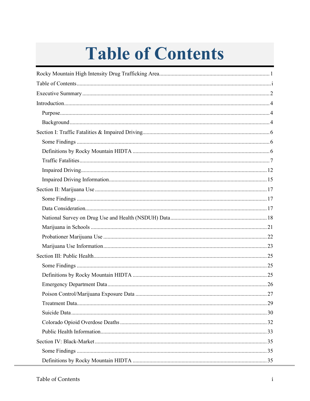## **Table of Contents**

<span id="page-2-0"></span>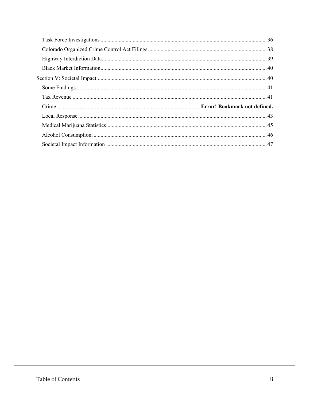<span id="page-3-0"></span>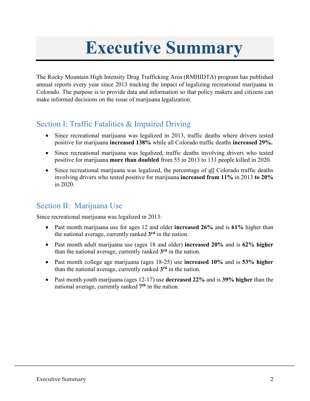## **Executive Summary**

The Rocky Mountain High Intensity Drug Trafficking Area (RMHIDTA) program has published annual reports every year since 2013 tracking the impact of legalizing recreational marijuana in Colorado. The purpose is to provide data and information so that policy makers and citizens can make informed decisions on the issue of marijuana legalization.

#### Section I: Traffic Fatalities & Impaired Driving

- Since recreational marijuana was legalized in 2013, traffic deaths where drivers tested positive for marijuana **increased 138%** while all Colorado traffic deaths **increased 29%.**
- Since recreational marijuana was legalized, traffic deaths involving drivers who tested positive for marijuana **more than doubled** from 55 in 2013 to 131 people killed in 2020.
- Since recreational marijuana was legalized, the percentage of all Colorado traffic deaths involving drivers who tested positive for marijuana **increased from 11%** in 2013 **to 20%** in 2020.

#### Section II: Marijuana Use

Since recreational marijuana was legalized in 2013:

- Past month marijuana use for ages 12 and older **increased 26%** and is **61%** higher than the national average, currently ranked **3rd** in the nation.
- Past month adult marijuana use (ages 18 and older) **increased 20%** and is **62% higher** than the national average, currently ranked **3rd** in the nation.
- Past month college age marijuana (ages 18-25) use **increased 10%** and is **53% higher** than the national average, currently ranked **3rd** in the nation.
- Past month youth marijuana (ages 12-17) use **decreased 22%** and is **39% higher** than the national average, currently ranked **7th** in the nation.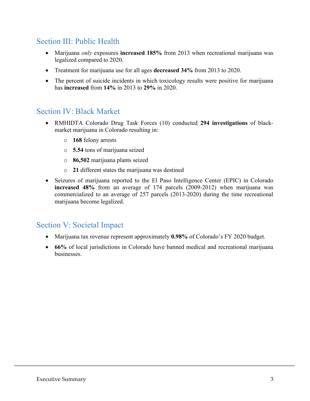#### Section III: Public Health

- Marijuana *only* exposures **increased 185%** from 2013 when recreational marijuana was legalized compared to 2020.
- Treatment for marijuana use for all ages **decreased 34%** from 2013 to 2020.
- The percent of suicide incidents in which toxicology results were positive for marijuana has **increased** from **14%** in 2013 to **29%** in 2020.

#### Section IV: Black Market

- RMHIDTA Colorado Drug Task Forces (10) conducted **294 investigations** of blackmarket marijuana in Colorado resulting in:
	- o **168** felony arrests
	- o **5.54** tons of marijuana seized
	- o **86,502** marijuana plants seized
	- o **21** different states the marijuana was destined
- Seizures of marijuana reported to the El Paso Intelligence Center (EPIC) in Colorado **increased 48%** from an average of 174 parcels (2009-2012) when marijuana was commercialized to an average of 257 parcels (2013-2020) during the time recreational marijuana become legalized.

#### Section V: Societal Impact

- Marijuana tax revenue represent approximately **0.98%** of Colorado's FY 2020 budget.
- **66%** of local jurisdictions in Colorado have banned medical and recreational marijuana businesses.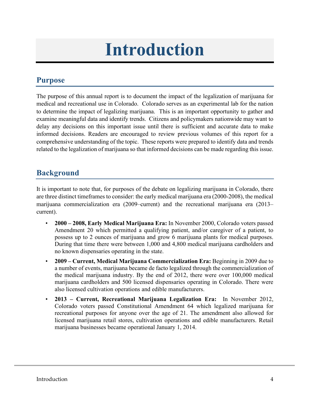## **Introduction**

## <span id="page-6-1"></span><span id="page-6-0"></span>**Purpose**

The purpose of this annual report is to document the impact of the legalization of marijuana for medical and recreational use in Colorado. Colorado serves as an experimental lab for the nation to determine the impact of legalizing marijuana. This is an important opportunity to gather and examine meaningful data and identify trends. Citizens and policymakers nationwide may want to delay any decisions on this important issue until there is sufficient and accurate data to make informed decisions. Readers are encouraged to review previous volumes of this report for a comprehensive understanding of the topic. These reports were prepared to identify data and trends related to the legalization of marijuana so that informed decisions can be made regarding this issue.

#### <span id="page-6-2"></span>**Background**

It is important to note that, for purposes of the debate on legalizing marijuana in Colorado, there are three distinct timeframes to consider: the early medical marijuana era (2000-2008), the medical marijuana commercialization era (2009–current) and the recreational marijuana era (2013– current).

- **2000 – 2008, Early Medical Marijuana Era:** In November 2000, Colorado voters passed Amendment 20 which permitted a qualifying patient, and/or caregiver of a patient, to possess up to 2 ounces of marijuana and grow 6 marijuana plants for medical purposes. During that time there were between 1,000 and 4,800 medical marijuana cardholders and no known dispensaries operating in the state.
- **2009 – Current, Medical Marijuana Commercialization Era:** Beginning in 2009 due to a number of events, marijuana became de facto legalized through the commercialization of the medical marijuana industry. By the end of 2012, there were over 100,000 medical marijuana cardholders and 500 licensed dispensaries operating in Colorado. There were also licensed cultivation operations and edible manufacturers.
- **2013 – Current, Recreational Marijuana Legalization Era:** In November 2012, Colorado voters passed Constitutional Amendment 64 which legalized marijuana for recreational purposes for anyone over the age of 21. The amendment also allowed for licensed marijuana retail stores, cultivation operations and edible manufacturers. Retail marijuana businesses became operational January 1, 2014.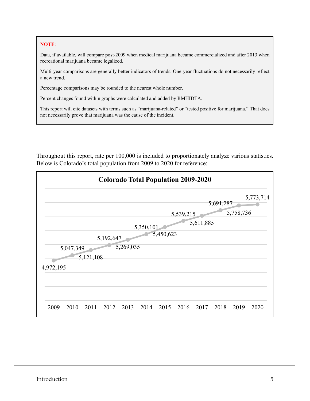#### **NOTE**:

Data, if available, will compare post-2009 when medical marijuana became commercialized and after 2013 when recreational marijuana became legalized.

Multi-year comparisons are generally better indicators of trends. One-year fluctuations do not necessarily reflect a new trend.

Percentage comparisons may be rounded to the nearest whole number.

Percent changes found within graphs were calculated and added by RMHIDTA.

This report will cite datasets with terms such as "marijuana-related" or "tested positive for marijuana." That does not necessarily prove that marijuana was the cause of the incident.

Throughout this report, rate per 100,000 is included to proportionately analyze various statistics. Below is Colorado's total population from 2009 to 2020 for reference:

| <b>Colorado Total Population 2009-2020</b> |      |                   |           |                   |                           |                   |                   |                   |           |                           |                                |
|--------------------------------------------|------|-------------------|-----------|-------------------|---------------------------|-------------------|-------------------|-------------------|-----------|---------------------------|--------------------------------|
|                                            |      |                   |           |                   |                           |                   |                   |                   |           |                           | 5,773,714                      |
|                                            |      |                   |           |                   |                           |                   |                   |                   |           |                           |                                |
|                                            |      |                   |           |                   |                           |                   |                   |                   |           |                           |                                |
|                                            |      |                   |           |                   |                           |                   |                   |                   |           |                           |                                |
|                                            |      |                   |           |                   |                           |                   |                   |                   |           |                           |                                |
|                                            |      |                   |           |                   |                           |                   |                   |                   |           |                           |                                |
|                                            |      |                   |           |                   |                           |                   |                   |                   |           |                           |                                |
|                                            |      |                   |           |                   |                           |                   |                   |                   |           |                           |                                |
|                                            |      |                   |           |                   |                           |                   |                   |                   |           |                           |                                |
|                                            |      |                   |           |                   |                           |                   |                   |                   |           |                           |                                |
|                                            |      |                   |           |                   |                           |                   |                   |                   |           |                           |                                |
|                                            |      |                   |           |                   |                           |                   |                   |                   |           |                           |                                |
|                                            |      |                   |           |                   |                           |                   |                   |                   |           |                           | 2020                           |
|                                            | 2009 | 4,972,195<br>2010 | 5,047,349 | 5,121,108<br>2011 | 5,192,647<br>2012<br>2013 | 5,269,035<br>2014 | 5,350,101<br>2015 | 5,450,623<br>2016 | 5,539,215 | 5,611,885<br>2017<br>2018 | 5,691,287<br>5,758,736<br>2019 |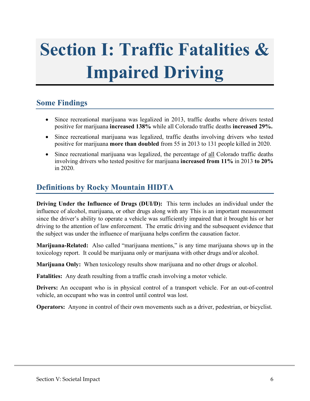# <span id="page-8-0"></span>**Section I: Traffic Fatalities & Impaired Driving**

#### <span id="page-8-1"></span>**Some Findings**

- Since recreational marijuana was legalized in 2013, traffic deaths where drivers tested positive for marijuana **increased 138%** while all Colorado traffic deaths **increased 29%.**
- Since recreational marijuana was legalized, traffic deaths involving drivers who tested positive for marijuana **more than doubled** from 55 in 2013 to 131 people killed in 2020.
- Since recreational marijuana was legalized, the percentage of all Colorado traffic deaths involving drivers who tested positive for marijuana **increased from 11%** in 2013 **to 20%** in 2020.

#### <span id="page-8-2"></span>**Definitions by Rocky Mountain HIDTA**

**Driving Under the Influence of Drugs (DUI/D):** This term includes an individual under the influence of alcohol, marijuana, or other drugs along with any This is an important measurement since the driver's ability to operate a vehicle was sufficiently impaired that it brought his or her driving to the attention of law enforcement. The erratic driving and the subsequent evidence that the subject was under the influence of marijuana helps confirm the causation factor.

**Marijuana-Related:** Also called "marijuana mentions," is any time marijuana shows up in the toxicology report. It could be marijuana only or marijuana with other drugs and/or alcohol.

**Marijuana Only:** When toxicology results show marijuana and no other drugs or alcohol.

**Fatalities:** Any death resulting from a traffic crash involving a motor vehicle.

**Drivers:** An occupant who is in physical control of a transport vehicle. For an out-of-control vehicle, an occupant who was in control until control was lost.

**Operators:** Anyone in control of their own movements such as a driver, pedestrian, or bicyclist.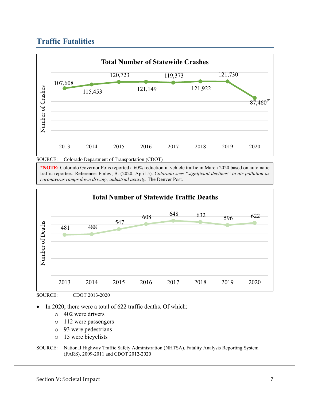## <span id="page-9-0"></span>**Traffic Fatalities**



**\*NOTE:** Colorado Governor Polis reported a 60% reduction in vehicle traffic in March 2020 based on automatic traffic reporters. Reference: Finley, B. (2020, April 5). *Colorado sees "significant declines" in air pollution as coronavirus ramps down driving, industrial activity*. The Denver Post.





SOURCE: CDOT 2013-2020

In 2020, there were a total of 622 traffic deaths. Of which:

- o 402 were drivers
- o 112 were passengers
- o 93 were pedestrians
- o 15 were bicyclists

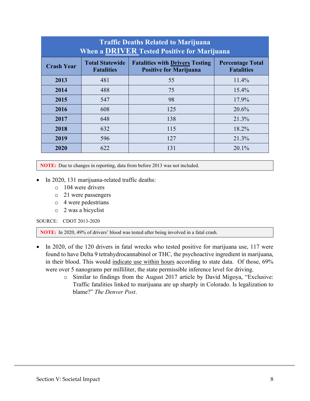| <b>Traffic Deaths Related to Marijuana</b><br>When a <b>DRIVER</b> Tested Positive for Marijuana |                                             |                                                                         |                                              |  |  |
|--------------------------------------------------------------------------------------------------|---------------------------------------------|-------------------------------------------------------------------------|----------------------------------------------|--|--|
| <b>Crash Year</b>                                                                                | <b>Total Statewide</b><br><b>Fatalities</b> | <b>Fatalities with Drivers Testing</b><br><b>Positive for Marijuana</b> | <b>Percentage Total</b><br><b>Fatalities</b> |  |  |
| 2013                                                                                             | 481                                         | 55                                                                      | 11.4%                                        |  |  |
| 2014                                                                                             | 488                                         | 75                                                                      | 15.4%                                        |  |  |
| 2015                                                                                             | 547                                         | 98                                                                      | 17.9%                                        |  |  |
| 2016                                                                                             | 608                                         | 125                                                                     | 20.6%                                        |  |  |
| 2017                                                                                             | 648                                         | 138                                                                     | 21.3%                                        |  |  |
| 2018                                                                                             | 632                                         | 115                                                                     | 18.2%                                        |  |  |
| 2019                                                                                             | 596                                         | 127                                                                     | 21.3%                                        |  |  |
| 2020                                                                                             | 622                                         | 131                                                                     | 20.1%                                        |  |  |

**NOTE:** Due to changes in reporting, data from before 2013 was not included.

- In 2020, 131 marijuana-related traffic deaths:
	- o 104 were drivers
	- o 21 were passengers
	- o 4 were pedestrians
	- o 2 was a bicyclist

SOURCE: CDOT 2013-2020

**NOTE:** In 2020, 49% of drivers' blood was tested after being involved in a fatal crash.

- In 2020, of the 120 drivers in fatal wrecks who tested positive for marijuana use, 117 were found to have Delta 9 tetrahydrocannabinol or THC, the psychoactive ingredient in marijuana, in their blood. This would indicate use within hours according to state data. Of those, 69% were over 5 nanograms per milliliter, the state permissible inference level for driving.
	- o Similar to findings from the August 2017 article by David Migoya, "Exclusive: Traffic fatalities linked to marijuana are up sharply in Colorado. Is legalization to blame?" *The Denver Post*.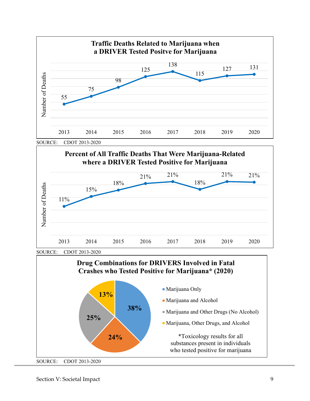



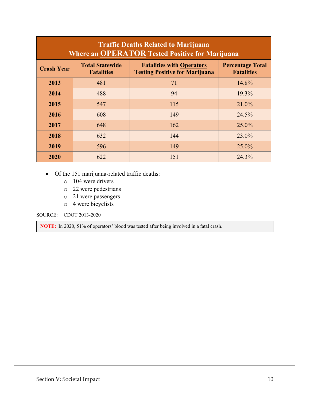| <b>Traffic Deaths Related to Marijuana</b><br><b>Where an OPERATOR Tested Positive for Marijuana</b> |                                             |                                                                           |                                              |  |  |
|------------------------------------------------------------------------------------------------------|---------------------------------------------|---------------------------------------------------------------------------|----------------------------------------------|--|--|
| <b>Crash Year</b>                                                                                    | <b>Total Statewide</b><br><b>Fatalities</b> | <b>Fatalities with Operators</b><br><b>Testing Positive for Marijuana</b> | <b>Percentage Total</b><br><b>Fatalities</b> |  |  |
| 2013                                                                                                 | 481                                         | 71                                                                        | 14.8%                                        |  |  |
| 2014                                                                                                 | 488                                         | 94                                                                        | 19.3%                                        |  |  |
| 2015                                                                                                 | 547                                         | 115                                                                       | 21.0%                                        |  |  |
| 2016                                                                                                 | 608                                         | 149                                                                       | 24.5%                                        |  |  |
| 2017                                                                                                 | 648                                         | 162                                                                       | 25.0%                                        |  |  |
| 2018                                                                                                 | 632                                         | 144                                                                       | 23.0%                                        |  |  |
| 2019                                                                                                 | 596                                         | 149                                                                       | 25.0%                                        |  |  |
| 2020                                                                                                 | 622                                         | 151                                                                       | 24.3%                                        |  |  |

• Of the 151 marijuana-related traffic deaths:

- o 104 were drivers
- o 22 were pedestrians
- o 21 were passengers
- o 4 were bicyclists

SOURCE: CDOT 2013-2020

**NOTE:** In 2020, 51% of operators' blood was tested after being involved in a fatal crash.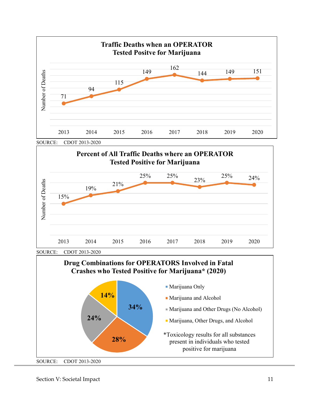



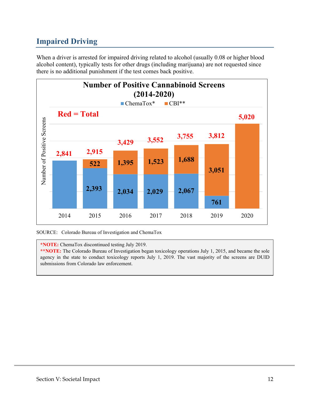## <span id="page-14-0"></span>**Impaired Driving**

When a driver is arrested for impaired driving related to alcohol (usually 0.08 or higher blood alcohol content), typically tests for other drugs (including marijuana) are not requested since there is no additional punishment if the test comes back positive.



SOURCE: Colorado Bureau of Investigation and ChemaTox

**\*NOTE:** ChemaTox discontinued testing July 2019.

**\*\*NOTE:** The Colorado Bureau of Investigation began toxicology operations July 1, 2015, and became the sole agency in the state to conduct toxicology reports July 1, 2019. The vast majority of the screens are DUID submissions from Colorado law enforcement.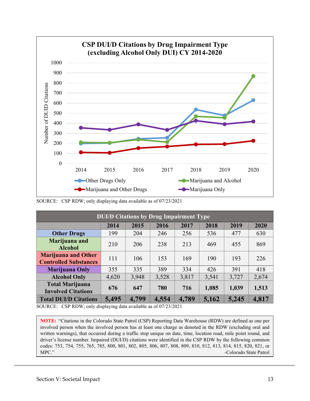

SOURCE: CSP RDW; only displaying data available as of 07/23/2021

| <b>DUI/D Citations by Drug Impairment Type</b>             |       |       |       |       |       |       |       |
|------------------------------------------------------------|-------|-------|-------|-------|-------|-------|-------|
|                                                            | 2014  | 2015  | 2016  | 2017  | 2018  | 2019  | 2020  |
| <b>Other Drugs</b>                                         | 199   | 204   | 246   | 256   | 536   | 477   | 630   |
| Marijuana and<br><b>Alcohol</b>                            | 210   | 206   | 238   | 213   | 469   | 455   | 869   |
| <b>Marijuana and Other</b><br><b>Controlled Substances</b> | 111   | 106   | 153   | 169   | 190   | 193   | 226   |
| <b>Marijuana Only</b>                                      | 355   | 335   | 389   | 334   | 426   | 391   | 418   |
| <b>Alcohol Only</b>                                        | 4,620 | 3,948 | 3,528 | 3,817 | 3,541 | 3,727 | 2,674 |
| <b>Total Marijuana</b><br><b>Involved Citations</b>        | 676   | 647   | 780   | 716   | 1,085 | 1,039 | 1,513 |
| <b>Total DUI/D Citations</b>                               | 5,495 | 4,799 | 4,554 | 4,789 | 5,162 | 5,245 | 4,817 |

SOURCE: CSP RDW; only displaying data available as of 07/23/2021

**NOTE:** "Citations in the Colorado State Patrol (CSP) Reporting Data Warehouse (RDW) are defined as one per involved person when the involved person has at least one charge as denoted in the RDW (excluding oral and written warnings), that occurred during a traffic stop unique on date, time, location road, mile point round, and driver's license number. Impaired (DUI/D) citations were identified in the CSP RDW by the following common codes: 753, 754, 755, 765, 785, 800, 801, 802, 805, 806, 807, 808, 809, 810, 812, 813, 814, 815, 820, 821, or MPC." **-Colorado State Patrol**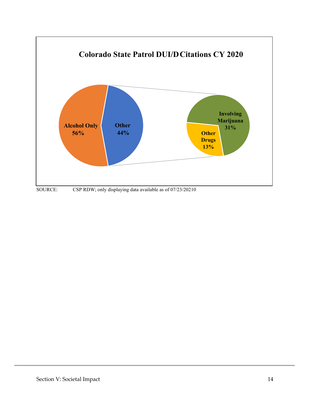

SOURCE: CSP RDW; only displaying data available as of 07/23/20210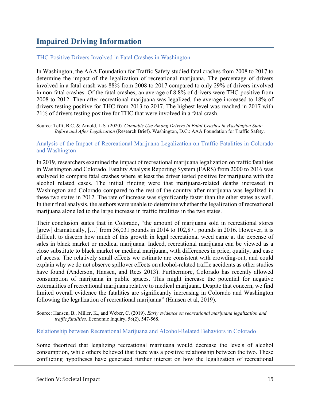## <span id="page-17-0"></span>**Impaired Driving Information**

#### THC Positive Drivers Involved in Fatal Crashes in Washington

In Washington, the AAA Foundation for Traffic Safety studied fatal crashes from 2008 to 2017 to determine the impact of the legalization of recreational marijuana. The percentage of drivers involved in a fatal crash was 88% from 2008 to 2017 compared to only 29% of drivers involved in non-fatal crashes. Of the fatal crashes, an average of 8.8% of drivers were THC-positive from 2008 to 2012. Then after recreational marijuana was legalized, the average increased to 18% of drivers testing positive for THC from 2013 to 2017. The highest level was reached in 2017 with 21% of drivers testing positive for THC that were involved in a fatal crash.

Source: Tefft, B.C. & Arnold, L.S. (2020)*. Cannabis Use Among Drivers in Fatal Crashes in Washington State Before and After Legalization* (Research Brief). Washington, D.C.: AAA Foundation for Traffic Safety.

#### Analysis of the Impact of Recreational Marijuana Legalization on Traffic Fatalities in Colorado and Washington

In 2019, researchers examined the impact of recreational marijuana legalization on traffic fatalities in Washington and Colorado. Fatality Analysis Reporting System (FARS) from 2000 to 2016 was analyzed to compare fatal crashes where at least the driver tested positive for marijuana with the alcohol related cases. The initial finding were that marijuana-related deaths increased in Washington and Colorado compared to the rest of the country after marijuana was legalized in these two states in 2012. The rate of increase was significantly faster than the other states as well. In their final analysis, the authors were unable to determine whether the legalization of recreational marijuana alone led to the large increase in traffic fatalities in the two states.

Their conclusion states that in Colorado, "the amount of marijuana sold in recreational stores [grew] dramatically, [...] from 36,031 pounds in 2014 to 102,871 pounds in 2016. However, it is difficult to discern how much of this growth in legal recreational weed came at the expense of sales in black market or medical marijuana. Indeed, recreational marijuana can be viewed as a close substitute to black market or medical marijuana, with differences in price, quality, and ease of access. The relatively small effects we estimate are consistent with crowding-out, and could explain why we do not observe spillover effects on alcohol-related traffic accidents as other studies have found (Anderson, Hansen, and Rees 2013). Furthermore, Colorado has recently allowed consumption of marijuana in public spaces. This might increase the potential for negative externalities of recreational marijuana relative to medical marijuana. Despite that concern, we find limited overall evidence the fatalities are significantly increasing in Colorado and Washington following the legalization of recreational marijuana" (Hansen et al, 2019).

Source: Hansen, B., Miller, K., and Weber, C. (2019). *Early evidence on recreational marijuana legalization and traffic fatalities.* Economic Inquiry, 58(2), 547-568.

#### Relationship between Recreational Marijuana and Alcohol-Related Behaviors in Colorado

Some theorized that legalizing recreational marijuana would decrease the levels of alcohol consumption, while others believed that there was a positive relationship between the two. These conflicting hypotheses have generated further interest on how the legalization of recreational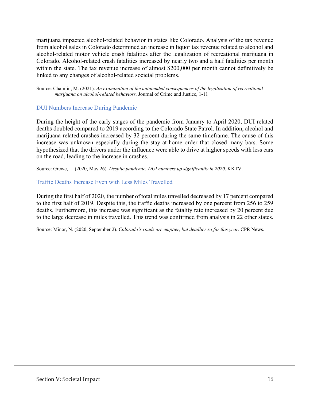marijuana impacted alcohol-related behavior in states like Colorado. Analysis of the tax revenue from alcohol sales in Colorado determined an increase in liquor tax revenue related to alcohol and alcohol-related motor vehicle crash fatalities after the legalization of recreational marijuana in Colorado. Alcohol-related crash fatalities increased by nearly two and a half fatalities per month within the state. The tax revenue increase of almost \$200,000 per month cannot definitively be linked to any changes of alcohol-related societal problems.

Source: Chamlin, M. (2021). *An examination of the unintended consequences of the legalization of recreational marijuana on alcohol-related behaviors.* Journal of Crime and Justice, 1-11

#### DUI Numbers Increase During Pandemic

During the height of the early stages of the pandemic from January to April 2020, DUI related deaths doubled compared to 2019 according to the Colorado State Patrol. In addition, alcohol and marijuana-related crashes increased by 32 percent during the same timeframe. The cause of this increase was unknown especially during the stay-at-home order that closed many bars. Some hypothesized that the drivers under the influence were able to drive at higher speeds with less cars on the road, leading to the increase in crashes.

Source: Grewe, L. (2020, May 26)*. Despite pandemic, DUI numbers up significantly in 2020*. KKTV.

#### Traffic Deaths Increase Even with Less Miles Travelled

During the first half of 2020, the number of total miles travelled decreased by 17 percent compared to the first half of 2019. Despite this, the traffic deaths increased by one percent from 256 to 259 deaths. Furthermore, this increase was significant as the fatality rate increased by 20 percent due to the large decrease in miles travelled. This trend was confirmed from analysis in 22 other states.

Source: Minor, N. (2020, September 2)*. Colorado's roads are emptier, but deadlier so far this year.* CPR News.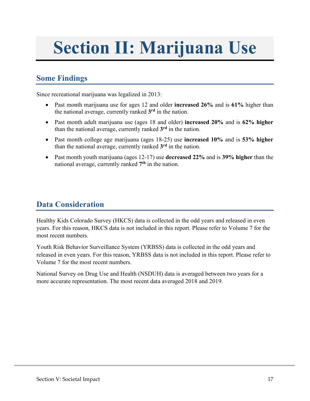## <span id="page-19-0"></span>**Section II: Marijuana Use**

### <span id="page-19-1"></span>**Some Findings**

Since recreational marijuana was legalized in 2013:

- Past month marijuana use for ages 12 and older **increased 26%** and is **61%** higher than the national average, currently ranked **3rd** in the nation.
- Past month adult marijuana use (ages 18 and older) **increased 20%** and is **62% higher** than the national average, currently ranked **3rd** in the nation.
- Past month college age marijuana (ages 18-25) use **increased 10%** and is **53% higher** than the national average, currently ranked **3rd** in the nation.
- Past month youth marijuana (ages 12-17) use **decreased 22%** and is **39% higher** than the national average, currently ranked **7th** in the nation.

## <span id="page-19-2"></span>**Data Consideration**

Healthy Kids Colorado Survey (HKCS) data is collected in the odd years and released in even years. For this reason, HKCS data is not included in this report. Please refer to Volume 7 for the most recent numbers.

Youth Risk Behavior Surveillance System (YRBSS) data is collected in the odd years and released in even years. For this reason, YRBSS data is not included in this report. Please refer to Volume 7 for the most recent numbers.

National Survey on Drug Use and Health (NSDUH) data is averaged between two years for a more accurate representation. The most recent data averaged 2018 and 2019.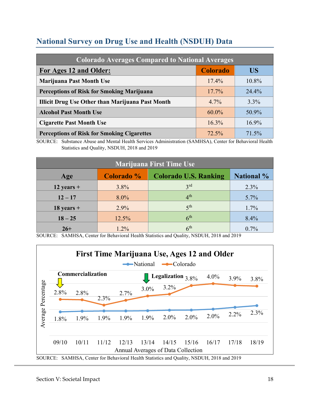## <span id="page-20-0"></span>**National Survey on Drug Use and Health (NSDUH) Data**

| <b>Colorado Averages Compared to National Averages</b>  |                 |          |  |  |  |
|---------------------------------------------------------|-----------------|----------|--|--|--|
| For Ages 12 and Older:                                  | <b>Colorado</b> | US       |  |  |  |
| <b>Marijuana Past Month Use</b>                         | $17.4\%$        | 10.8%    |  |  |  |
| <b>Perceptions of Risk for Smoking Marijuana</b>        | $17.7\%$        | 24.4%    |  |  |  |
| <b>Illicit Drug Use Other than Marijuana Past Month</b> | $4.7\%$         | $3.3\%$  |  |  |  |
| <b>Alcohol Past Month Use</b>                           | $60.0\%$        | 50.9%    |  |  |  |
| <b>Cigarette Past Month Use</b>                         | $16.3\%$        | $16.9\%$ |  |  |  |
| <b>Perceptions of Risk for Smoking Cigarettes</b>       | $72.5\%$        | 71.5%    |  |  |  |

SOURCE: Substance Abuse and Mental Health Services Administration (SAMHSA), Center for Behavioral Health Statistics and Quality, NSDUH, 2018 and 2019

| <b>Marijuana First Time Use</b> |            |                              |                   |  |  |
|---------------------------------|------------|------------------------------|-------------------|--|--|
| Age                             | Colorado % | <b>Colorado U.S. Ranking</b> | <b>National</b> % |  |  |
| 12 years $+$                    | $3.8\%$    | 3 <sup>rd</sup>              | 2.3%              |  |  |
| $12 - 17$                       | $8.0\%$    | 4 <sup>th</sup>              | 5.7%              |  |  |
| $18$ years +                    | 2.9%       | 5 <sup>th</sup>              | 1.7%              |  |  |
| $18 - 25$                       | 12.5%      | 6 <sup>th</sup>              | 8.4%              |  |  |
| $26+$                           | $1.2\%$    | 6 <sup>th</sup>              | $0.7\%$           |  |  |

SOURCE: SAMHSA, Center for Behavioral Health Statistics and Quality, NSDUH, 2018 and 2019

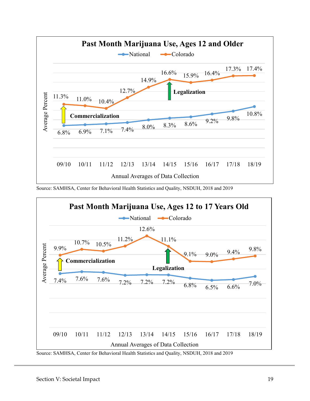

Source: SAMHSA, Center for Behavioral Health Statistics and Quality, NSDUH, 2018 and 2019



Source: SAMHSA, Center for Behavioral Health Statistics and Quality, NSDUH, 2018 and 2019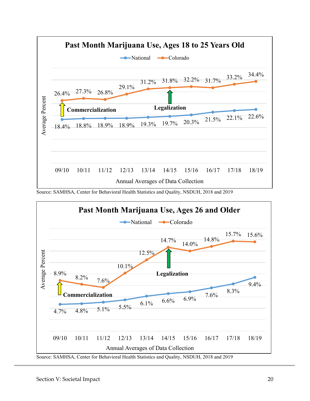

Source: SAMHSA, Center for Behavioral Health Statistics and Quality, NSDUH, 2018 and 2019

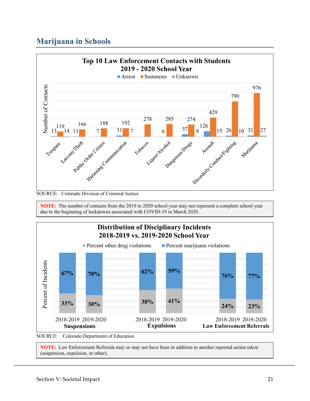## <span id="page-23-0"></span>**Marijuana in Schools**



SOURCE: Colorado Division of Criminal Justice

**NOTE:** The number of contacts from the 2019 to 2020 school year may not represent a complete school year due to the beginning of lockdowns associated with COVID-19 in March 2020.



**NOTE:** Law Enforcement Referrals may or may not have been in addition to another reported action taken (suspension, expulsion, or other).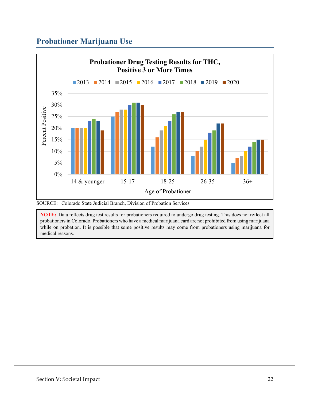## <span id="page-24-0"></span>**Probationer Marijuana Use**



SOURCE: Colorado State Judicial Branch, Division of Probation Services

**NOTE:** Data reflects drug test results for probationers required to undergo drug testing. This does not reflect all probationers in Colorado. Probationers who have a medical marijuana card are not prohibited from using marijuana while on probation. It is possible that some positive results may come from probationers using marijuana for medical reasons.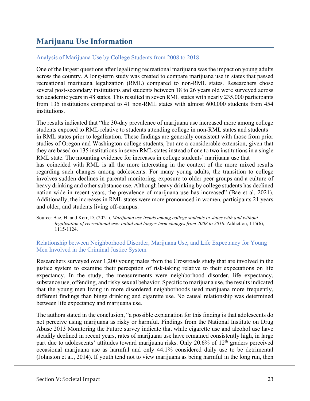## <span id="page-25-0"></span>**Marijuana Use Information**

#### Analysis of Marijuana Use by College Students from 2008 to 2018

One of the largest questions after legalizing recreational marijuana was the impact on young adults across the country. A long-term study was created to compare marijuana use in states that passed recreational marijuana legalization (RML) compared to non-RML states. Researchers chose several post-secondary institutions and students between 18 to 26 years old were surveyed across ten academic years in 48 states. This resulted in seven RML states with nearly 235,000 participants from 135 institutions compared to 41 non-RML states with almost 600,000 students from 454 institutions.

The results indicated that "the 30-day prevalence of marijuana use increased more among college students exposed to RML relative to students attending college in non-RML states and students in RML states prior to legalization. These findings are generally consistent with those from prior studies of Oregon and Washington college students, but are a considerable extension, given that they are based on 135 institutions in seven RML states instead of one to two institutions in a single RML state. The mounting evidence for increases in college students' marijuana use that has coincided with RML is all the more interesting in the context of the more mixed results regarding such changes among adolescents. For many young adults, the transition to college involves sudden declines in parental monitoring, exposure to older peer groups and a culture of heavy drinking and other substance use. Although heavy drinking by college students has declined nation-wide in recent years, the prevalence of marijuana use has increased" (Bae et al, 2021). Additionally, the increases in RML states were more pronounced in women, participants 21 years and older, and students living off-campus.

Source: Bae, H. and Kerr, D. (2021). *Marijuana use trends among college students in states with and without legalization of recreational use: initial and longer-term changes from 2008 to 2018*. Addiction, 115(6), 1115-1124.

#### Relationship between Neighborhood Disorder, Marijuana Use, and Life Expectancy for Young Men Involved in the Criminal Justice System

Researchers surveyed over 1,200 young males from the Crossroads study that are involved in the justice system to examine their perception of risk-taking relative to their expectations on life expectancy. In the study, the measurements were neighborhood disorder, life expectancy, substance use, offending, and risky sexual behavior. Specific to marijuana use, the results indicated that the young men living in more disordered neighborhoods used marijuana more frequently, different findings than binge drinking and cigarette use. No causal relationship was determined between life expectancy and marijuana use.

The authors stated in the conclusion, "a possible explanation for this finding is that adolescents do not perceive using marijuana as risky or harmful. Findings from the National Institute on Drug Abuse 2013 Monitoring the Future survey indicate that while cigarette use and alcohol use have steadily declined in recent years, rates of marijuana use have remained consistently high, in large part due to adolescents' attitudes toward marijuana risks. Only 20.6% of  $12<sup>th</sup>$  graders perceived occasional marijuana use as harmful and only 44.1% considered daily use to be detrimental (Johnston et al., 2014). If youth tend not to view marijuana as being harmful in the long run, then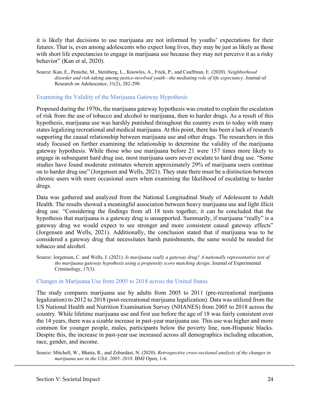it is likely that decisions to use marijuana are not informed by youths' expectations for their futures. That is, even among adolescents who expect long lives, they may be just as likely as those with short life expectancies to engage in marijuana use because they may not perceive it as a risky behavior" (Kan et al, 2020).

#### Examining the Validity of the Marijuana Gateway Hypothesis

Proposed during the 1970s, the marijuana gateway hypothesis was created to explain the escalation of risk from the use of tobacco and alcohol to marijuana, then to harder drugs. As a result of this hypothesis, marijuana use was harshly punished throughout the country even to today with many states legalizing recreational and medical marijuana. At this point, there has been a lack of research supporting the causal relationship between marijuana use and other drugs. The researchers in this study focused on further examining the relationship to determine the validity of the marijuana gateway hypothesis. While those who use marijuana before 21 were 157 times more likely to engage in subsequent hard drug use, most marijuana users never escalate to hard drug use. "Some studies have found moderate estimates wherein approximately 29% of marijuana users continue on to harder drug use" (Jorgensen and Wells, 2021). They state there must be a distinction between chronic users with more occasional users when examining the likelihood of escalating to harder drugs.

Data was gathered and analyzed from the National Longitudinal Study of Adolescent to Adult Health. The results showed a meaningful association between heavy marijuana use and light illicit drug use. "Considering the findings from all 18 tests together, it can be concluded that the hypothesis that marijuana is a gateway drug is unsupported. Summarily, if marijuana "really" is a gateway drug we would expect to see stronger and more consistent causal gateway effects" (Jorgensen and Wells, 2021). Additionally, the conclusion stated that if marijuana was to be considered a gateway drug that necessitates harsh punishments, the same would be needed for tobacco and alcohol.

Source: Jorgensen, C. and Wells, J. (2021). *Is marijuana really a gateway drug? A nationally representative test of the marijuana gateway hypothesis using a propensity score matching design*. Journal of Experimental Criminology, 17(3).

#### Changes in Marijuana Use from 2005 to 2018 across the United States

The study compares marijuana use by adults from 2005 to 2011 (pre-recreational marijuana legalization) to 2012 to 2018 (post-recreational marijuana legalization). Data was utilized from the US National Health and Nutrition Examination Survey (NHANES) from 2005 to 2018 across the country. While lifetime marijuana use and first use before the age of 18 was fairly consistent over the 14 years, there was a sizable increase in past-year marijuana use. This use was higher and more common for younger people, males, participants below the poverty line, non-Hispanic blacks. Despite this, the increase in past-year use increased across all demographics including education, race, gender, and income.

Source: Mitchell, W., Bhatia, R., and Zebardast, N. (2020). *Retrospective cross-sectional analysis of the changes in marijuana use in the USA, 2005–2018*. BMJ Open, 1-6.

Source: Kan, E., Peniche, M., Steinberg, L., Knowles, A., Frick, P., and Cauffman, E. (2020). *Neighborhood disorder and risk-taking among justice-involved youth—the mediating role of life expectancy*. Journal of Research on Adolescence, 31(2), 282-298.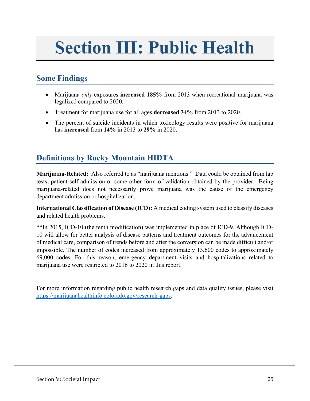## <span id="page-27-0"></span>**Section III: Public Health**

#### <span id="page-27-1"></span>**Some Findings**

- Marijuana *only* exposures **increased 185%** from 2013 when recreational marijuana was legalized compared to 2020.
- Treatment for marijuana use for all ages **decreased 34%** from 2013 to 2020.
- The percent of suicide incidents in which toxicology results were positive for marijuana has **increased** from **14%** in 2013 to **29%** in 2020.

### <span id="page-27-2"></span>**Definitions by Rocky Mountain HIDTA**

**Marijuana-Related:** Also referred to as "marijuana mentions." Data could be obtained from lab tests, patient self-admission or some other form of validation obtained by the provider. Being marijuana-related does not necessarily prove marijuana was the cause of the emergency department admission or hospitalization.

**International Classification of Disease (ICD):** A medical coding system used to classify diseases and related health problems.

\*\*In 2015, ICD-10 (the tenth modification) was implemented in place of ICD-9. Although ICD-10 will allow for better analysis of disease patterns and treatment outcomes for the advancement of medical care, comparison of trends before and after the conversion can be made difficult and/or impossible. The number of codes increased from approximately 13,600 codes to approximately 69,000 codes. For this reason, emergency department visits and hospitalizations related to marijuana use were restricted to 2016 to 2020 in this report.

For more information regarding public health research gaps and data quality issues, please visit [https://marijuanahealthinfo.colorado.gov/research-gaps.](https://marijuanahealthinfo.colorado.gov/research-gaps)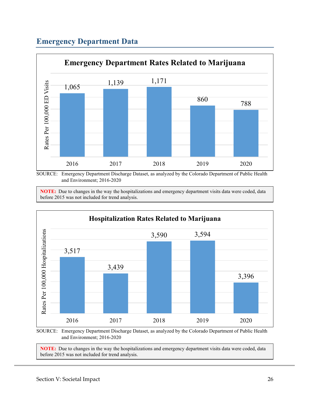## <span id="page-28-0"></span>**Emergency Department Data**



SOURCE: Emergency Department Discharge Dataset, as analyzed by the Colorado Department of Public Health and Environment; 2016-2020

**NOTE:** Due to changes in the way the hospitalizations and emergency department visits data were coded, data before 2015 was not included for trend analysis.



SOURCE: Emergency Department Discharge Dataset, as analyzed by the Colorado Department of Public Health and Environment; 2016-2020

**NOTE:** Due to changes in the way the hospitalizations and emergency department visits data were coded, data before 2015 was not included for trend analysis.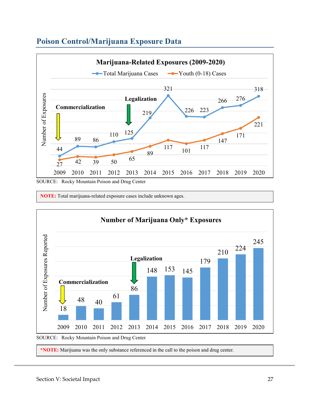

## <span id="page-29-0"></span>**Poison Control/Marijuana Exposure Data**

**NOTE:** Total marijuana-related exposure cases include unknown ages.



**\*NOTE:** Marijuana was the only substance referenced in the call to the poison and drug center.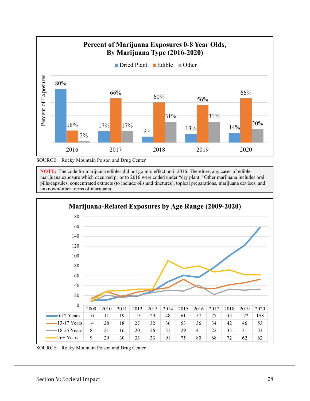

SOURCE: Rocky Mountain Poison and Drug Center

**NOTE:** The code for marijuana edibles did not go into effect until 2016. Therefore, any cases of edible marijuana exposure which occurred prior to 2016 were coded under "dry plant." Other marijuana includes oral pills/capsules, concentrated extracts (to include oils and tinctures), topical preparations, marijuana devices, and unknown/other forms of marijuana.



SOURCE: Rocky Mountain Poison and Drug Center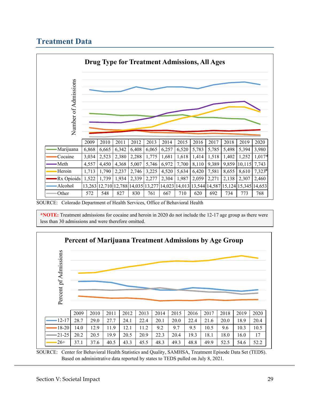## <span id="page-31-0"></span>**Treatment Data**



SOURCE: Colorado Department of Health Services, Office of Behavioral Health

**\*NOTE:** Treatment admissions for cocaine and heroin in 2020 do not include the 12-17 age group as there were less than 30 admissions and were therefore omitted.



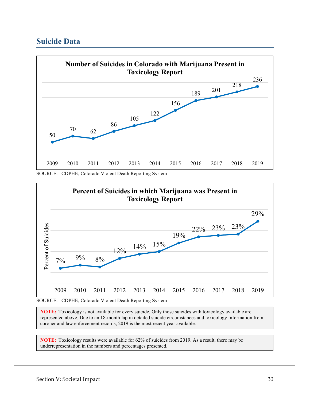#### <span id="page-32-0"></span>**Suicide Data**



SOURCE: CDPHE, Colorado Violent Death Reporting System



SOURCE: CDPHE, Colorado Violent Death Reporting System

**NOTE:** Toxicology is not available for every suicide. Only those suicides with toxicology available are represented above. Due to an 18-month lap in detailed suicide circumstances and toxicology information from coroner and law enforcement records, 2019 is the most recent year available.

**NOTE:** Toxicology results were available for 62% of suicides from 2019. As a result, there may be underrepresentation in the numbers and percentages presented.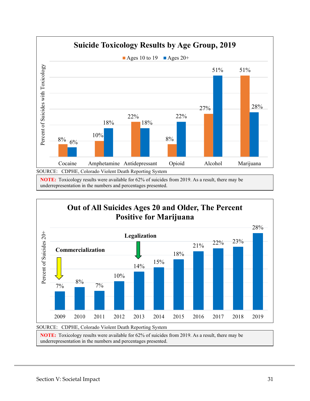

underrepresentation in the numbers and percentages presented.



**NOTE:** Toxicology results were available for 62% of suicides from 2019. As a result, there may be underrepresentation in the numbers and percentages presented.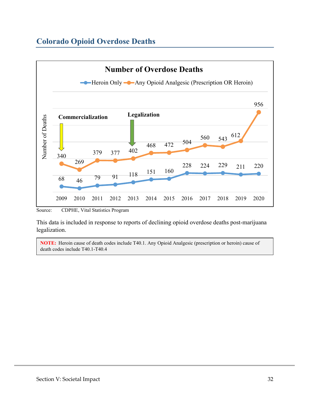## <span id="page-34-0"></span>**Colorado Opioid Overdose Deaths**



Source: CDPHE, Vital Statistics Program

This data is included in response to reports of declining opioid overdose deaths post-marijuana legalization.

**NOTE:** Heroin cause of death codes include T40.1. Any Opioid Analgesic (prescription or heroin) cause of death codes include T40.1-T40.4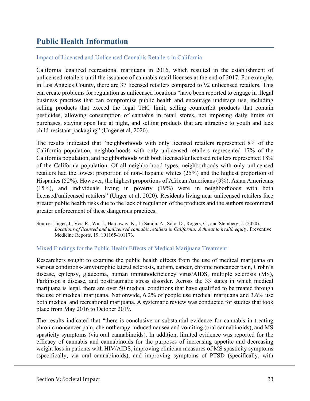### <span id="page-35-0"></span>**Public Health Information**

#### Impact of Licensed and Unlicensed Cannabis Retailers in California

California legalized recreational marijuana in 2016, which resulted in the establishment of unlicensed retailers until the issuance of cannabis retail licenses at the end of 2017. For example, in Los Angeles County, there are 37 licensed retailers compared to 92 unlicensed retailers. This can create problems for regulation as unlicensed locations "have been reported to engage in illegal business practices that can compromise public health and encourage underage use, including selling products that exceed the legal THC limit, selling counterfeit products that contain pesticides, allowing consumption of cannabis in retail stores, not imposing daily limits on purchases, staying open late at night, and selling products that are attractive to youth and lack child-resistant packaging" (Unger et al, 2020).

The results indicated that "neighborhoods with only licensed retailers represented 8% of the California population, neighborhoods with only unlicensed retailers represented 17% of the California population, and neighborhoods with both licensed/unlicensed retailers represented 18% of the California population. Of all neighborhood types, neighborhoods with only unlicensed retailers had the lowest proportion of non-Hispanic whites (25%) and the highest proportion of Hispanics (52%). However, the highest proportions of African Americans (9%), Asian Americans (15%), and individuals living in poverty (19%) were in neighborhoods with both licensed/unlicensed retailers" (Unger et al, 2020). Residents living near unlicensed retailers face greater public health risks due to the lack of regulation of the products and the authors recommend greater enforcement of these dangerous practices.

Source: Unger, J., Vos, R., Wu, J., Hardaway, K., Li Sarain, A., Soto, D., Rogers, C., and Steinberg, J. (2020). *Locations of licensed and unlicensed cannabis retailers in California: A threat to health equity*. Preventive Medicine Reports, 19, 101165-101173.

#### Mixed Findings for the Public Health Effects of Medical Marijuana Treatment

Researchers sought to examine the public health effects from the use of medical marijuana on various conditions- amyotrophic lateral sclerosis, autism, cancer, chronic noncancer pain, Crohn's disease, epilepsy, glaucoma, human immunodeficiency virus/AIDS, multiple sclerosis (MS), Parkinson's disease, and posttraumatic stress disorder. Across the 33 states in which medical marijuana is legal, there are over 50 medical conditions that have qualified to be treated through the use of medical marijuana. Nationwide, 6.2% of people use medical marijuana and 3.6% use both medical and recreational marijuana. A systematic review was conducted for studies that took place from May 2016 to October 2019.

The results indicated that "there is conclusive or substantial evidence for cannabis in treating chronic noncancer pain, chemotherapy-induced nausea and vomiting (oral cannabinoids), and MS spasticity symptoms (via oral cannabinoids). In addition, limited evidence was reported for the efficacy of cannabis and cannabinoids for the purposes of increasing appetite and decreasing weight loss in patients with HIV/AIDS, improving clinician measures of MS spasticity symptoms (specifically, via oral cannabinoids), and improving symptoms of PTSD (specifically, with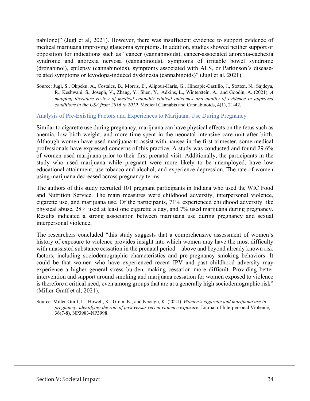nabilone)" (Jugl et al, 2021). However, there was insufficient evidence to support evidence of medical marijuana improving glaucoma symptoms. In addition, studies showed neither support or opposition for indications such as "cancer (cannabinoids), cancer-associated anorexia-cachexia syndrome and anorexia nervosa (cannabinoids), symptoms of irritable bowel syndrome (dronabinol), epilepsy (cannabinoids), symptoms associated with ALS, or Parkinson's diseaserelated symptoms or levodopa-induced dyskinesia (cannabinoids)" (Jugl et al, 2021).

Source: Jugl, S., Okpeku, A., Costales, B., Morris, E., Alipour-Haris, G., Hincapie-Castillo, J., Stetten, N., Sajdeya, R., Keshwani, S., Joseph, V., Zhang, Y., Shen, Y., Adkins, L., Winterstein, A., and Goodin, A. (2021). *A mapping literature review of medical cannabis clinical outcomes and quality of evidence in approved conditions in the USA from 2016 to 2019.* Medical Cannabis and Cannabinoids, 4(1), 21-42.

#### Analysis of Pre-Existing Factors and Experiences to Marijuana Use During Pregnancy

Similar to cigarette use during pregnancy, marijuana can have physical effects on the fetus such as anemia, low birth weight, and more time spent in the neonatal intensive care unit after birth. Although women have used marijuana to assist with nausea in the first trimester, some medical professionals have expressed concerns of this practice. A study was conducted and found 29.6% of women used marijuana prior to their first prenatal visit. Additionally, the participants in the study who used marijuana while pregnant were more likely to be unemployed, have low educational attainment, use tobacco and alcohol, and experience depression. The rate of women using marijuana decreased across pregnancy terms.

The authors of this study recruited 101 pregnant participants in Indiana who used the WIC Food and Nutrition Service. The main measures were childhood adversity, interpersonal violence, cigarette use, and marijuana use. Of the participants, 71% experienced childhood adversity like physical abuse, 28% used at least one cigarette a day, and 7% used marijuana during pregnancy. Results indicated a strong association between marijuana use during pregnancy and sexual interpersonal violence.

The researchers concluded "this study suggests that a comprehensive assessment of women's history of exposure to violence provides insight into which women may have the most difficulty with unassisted substance cessation in the prenatal period—above and beyond already known risk factors, including sociodemographic characteristics and pre-pregnancy smoking behaviors. It could be that women who have experienced recent IPV and past childhood adversity may experience a higher general stress burden, making cessation more difficult. Providing better intervention and support around smoking and marijuana cessation for women exposed to violence is therefore a critical need, even among groups that are at a generally high sociodemographic risk" (Miller-Graff et al, 2021).

Source: Miller-Graff, L., Howell, K., Grein, K., and Keough, K. (2021). *Women's cigarette and marijuana use in pregnancy: identifying the role of past versus recent violence exposure*. Journal of Interpersonal Violence, 36(7-8), NP3983-NP3998.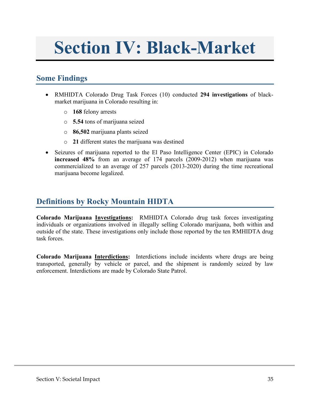## <span id="page-37-0"></span>**Section IV: Black-Market**

#### <span id="page-37-1"></span>**Some Findings**

- RMHIDTA Colorado Drug Task Forces (10) conducted **294 investigations** of blackmarket marijuana in Colorado resulting in:
	- o **168** felony arrests
	- o **5.54** tons of marijuana seized
	- o **86,502** marijuana plants seized
	- o **21** different states the marijuana was destined
- Seizures of marijuana reported to the El Paso Intelligence Center (EPIC) in Colorado **increased 48%** from an average of 174 parcels (2009-2012) when marijuana was commercialized to an average of 257 parcels (2013-2020) during the time recreational marijuana become legalized.

#### <span id="page-37-2"></span>**Definitions by Rocky Mountain HIDTA**

**Colorado Marijuana Investigations:** RMHIDTA Colorado drug task forces investigating individuals or organizations involved in illegally selling Colorado marijuana, both within and outside of the state. These investigations only include those reported by the ten RMHIDTA drug task forces.

**Colorado Marijuana Interdictions:** Interdictions include incidents where drugs are being transported, generally by vehicle or parcel, and the shipment is randomly seized by law enforcement. Interdictions are made by Colorado State Patrol.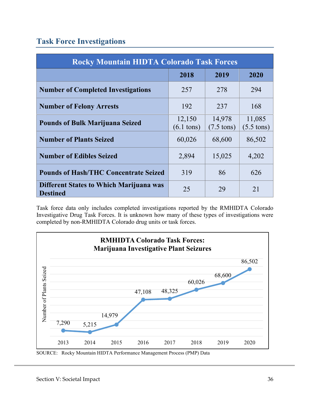### <span id="page-38-0"></span>**Task Force Investigations**

| <b>Rocky Mountain HIDTA Colorado Task Forces</b>                  |                                |                                |                                |  |  |
|-------------------------------------------------------------------|--------------------------------|--------------------------------|--------------------------------|--|--|
|                                                                   | 2018                           | 2019                           | 2020                           |  |  |
| <b>Number of Completed Investigations</b>                         | 257                            | 278                            | 294                            |  |  |
| <b>Number of Felony Arrests</b>                                   | 192                            | 237                            | 168                            |  |  |
| <b>Pounds of Bulk Marijuana Seized</b>                            | 12,150<br>$(6.1 \text{ tons})$ | 14,978<br>$(7.5 \text{ tons})$ | 11,085<br>$(5.5 \text{ tons})$ |  |  |
| <b>Number of Plants Seized</b>                                    | 60,026                         | 68,600                         | 86,502                         |  |  |
| <b>Number of Edibles Seized</b>                                   | 2,894                          | 15,025                         | 4,202                          |  |  |
| <b>Pounds of Hash/THC Concentrate Seized</b>                      | 319                            | 86                             | 626                            |  |  |
| <b>Different States to Which Marijuana was</b><br><b>Destined</b> | 25                             | 29                             | 21                             |  |  |

Task force data only includes completed investigations reported by the RMHIDTA Colorado Investigative Drug Task Forces. It is unknown how many of these types of investigations were completed by non-RMHIDTA Colorado drug units or task forces.



SOURCE: Rocky Mountain HIDTA Performance Management Process (PMP) Data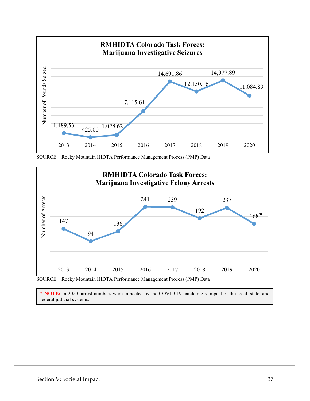

SOURCE: Rocky Mountain HIDTA Performance Management Process (PMP) Data



**\* NOTE:** In 2020, arrest numbers were impacted by the COVID-19 pandemic's impact of the local, state, and federal judicial systems.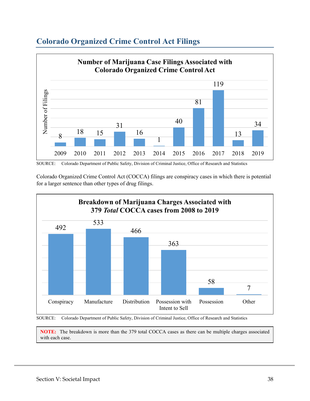

#### <span id="page-40-0"></span>**Colorado Organized Crime Control Act Filings**



Colorado Organized Crime Control Act (COCCA) filings are conspiracy cases in which there is potential for a larger sentence than other types of drug filings.



SOURCE: Colorado Department of Public Safety, Division of Criminal Justice, Office of Research and Statistics

**NOTE:** The breakdown is more than the 379 total COCCA cases as there can be multiple charges associated with each case.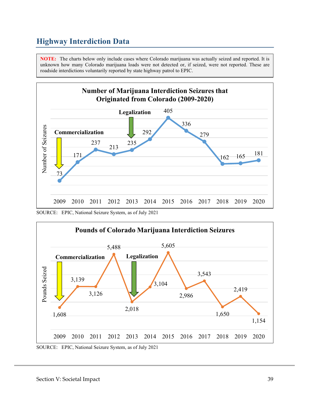### <span id="page-41-0"></span>**Highway Interdiction Data**

**NOTE:** The charts below only include cases where Colorado marijuana was actually seized and reported. It is unknown how many Colorado marijuana loads were not detected or, if seized, were not reported. These are roadside interdictions voluntarily reported by state highway patrol to EPIC.



SOURCE: EPIC, National Seizure System, as of July 2021



SOURCE: EPIC, National Seizure System, as of July 2021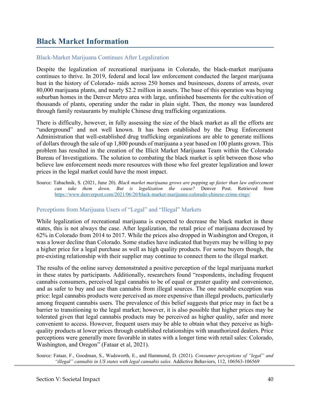#### <span id="page-42-0"></span>**Black Market Information**

#### Black-Market Marijuana Continues After Legalization

Despite the legalization of recreational marijuana in Colorado, the black-market marijuana continues to thrive. In 2019, federal and local law enforcement conducted the largest marijuana bust in the history of Colorado- raids across 250 homes and businesses, dozens of arrests, over 80,000 marijuana plants, and nearly \$2.2 million in assets. The base of this operation was buying suburban homes in the Denver Metro area with large, unfinished basements for the cultivation of thousands of plants, operating under the radar in plain sight. Then, the money was laundered through family restaurants by multiple Chinese drug trafficking organizations.

There is difficulty, however, in fully assessing the size of the black market as all the efforts are "underground" and not well known. It has been established by the Drug Enforcement Administration that well-established drug trafficking organizations are able to generate millions of dollars through the sale of up 1,800 pounds of marijuana a year based on 100 plants grown. This problem has resulted in the creation of the Illicit Market Marijuana Team within the Colorado Bureau of Investigations. The solution to combating the black market is split between those who believe law enforcement needs more resources with those who feel greater legalization and lower prices in the legal market could have the most impact.

<span id="page-42-1"></span>Source: Tabachnik, S. (2021, June 20). *Black market marijuana grows are popping up faster than law enforcement can take them down. But is legalization the cause?* Denver Post. Retrieved from <https://www.denverpost.com/2021/06/20/black-market-marijuana-colorado-chinese-crime-rings/>

#### Perceptions from Marijuana Users of "Legal" and "Illegal" Markets

While legalization of recreational marijuana is expected to decrease the black market in these states, this is not always the case. After legalization, the retail price of marijuana decreased by 62% in Colorado from 2014 to 2017. While the prices also dropped in Washington and Oregon, it was a lower decline than Colorado. Some studies have indicated that buyers may be willing to pay a higher price for a legal purchase as well as high quality products. For some buyers though, the pre-existing relationship with their supplier may continue to connect them to the illegal market.

The results of the online survey demonstrated a positive perception of the legal marijuana market in these states by participants. Additionally, researchers found "respondents, including frequent cannabis consumers, perceived legal cannabis to be of equal or greater quality and convenience, and as safer to buy and use than cannabis from illegal sources. The one notable exception was price: legal cannabis products were perceived as more expensive than illegal products, particularly among frequent cannabis users. The prevalence of this belief suggests that price may in fact be a barrier to transitioning to the legal market; however, it is also possible that higher prices may be tolerated given that legal cannabis products may be perceived as higher quality, safer and more convenient to access. However, frequent users may be able to obtain what they perceive as highquality products at lower prices through established relationships with unauthorized dealers. Price perceptions were generally more favorable in states with a longer time with retail sales: Colorado, Washington, and Oregon" (Fataar et al, 2021).

Source: Fataar, F., Goodman, S., Wadsworth, E., and Hammond, D. (2021). *Consumer perceptions of "legal" and "illegal" cannabis in US states with legal cannabis sales.* Addictive Behaviors, 112, 106563-106569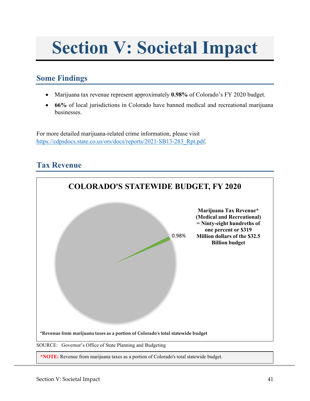## **Section V: Societal Impact**

#### <span id="page-43-0"></span>**Some Findings**

- Marijuana tax revenue represent approximately **0.98%** of Colorado's FY 2020 budget.
- **66%** of local jurisdictions in Colorado have banned medical and recreational marijuana businesses.

For more detailed marijuana-related crime information, please visit [https://cdpsdocs.state.co.us/ors/docs/reports/2021-SB13-283\\_Rpt.pdf.](https://cdpsdocs.state.co.us/ors/docs/reports/2021-SB13-283_Rpt.pdf)

## <span id="page-43-1"></span>**Tax Revenue**

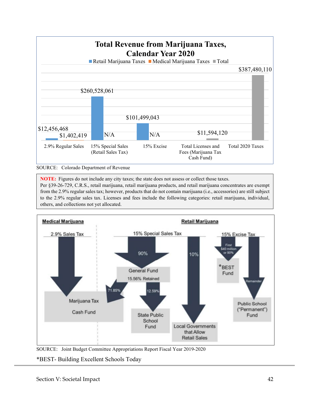

#### SOURCE: Colorado Department of Revenue

**NOTE:** Figures do not include any city taxes; the state does not assess or collect those taxes. Per §39-26-729, C.R.S., retail marijuana, retail marijuana products, and retail marijuana concentrates are exempt from the 2.9% regular sales tax; however, products that do not contain marijuana (i.e., accessories) are still subject to the 2.9% regular sales tax. Licenses and fees include the following categories: retail marijuana, individual, others, and collections not yet allocated.



SOURCE: Joint Budget Committee Appropriations Report Fiscal Year 2019-2020

\*BEST- Building Excellent Schools Today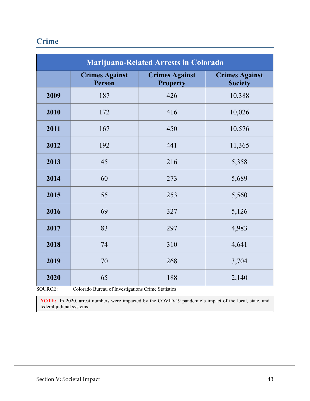## <span id="page-45-0"></span>**Crime**

|      | <b>Marijuana-Related Arrests in Colorado</b> |                                          |                                         |  |  |  |  |  |
|------|----------------------------------------------|------------------------------------------|-----------------------------------------|--|--|--|--|--|
|      | <b>Crimes Against</b><br>Person              | <b>Crimes Against</b><br><b>Property</b> | <b>Crimes Against</b><br><b>Society</b> |  |  |  |  |  |
| 2009 | 187                                          | 426                                      | 10,388                                  |  |  |  |  |  |
| 2010 | 172                                          | 416                                      | 10,026                                  |  |  |  |  |  |
| 2011 | 167                                          | 450                                      | 10,576                                  |  |  |  |  |  |
| 2012 | 192                                          | 441                                      | 11,365                                  |  |  |  |  |  |
| 2013 | 45                                           | 216                                      | 5,358                                   |  |  |  |  |  |
| 2014 | 60                                           | 273                                      | 5,689                                   |  |  |  |  |  |
| 2015 | 55                                           | 253                                      | 5,560                                   |  |  |  |  |  |
| 2016 | 69                                           | 327                                      | 5,126                                   |  |  |  |  |  |
| 2017 | 83                                           | 297                                      | 4,983                                   |  |  |  |  |  |
| 2018 | 74                                           | 310                                      | 4,641                                   |  |  |  |  |  |
| 2019 | 70                                           | 268                                      | 3,704                                   |  |  |  |  |  |
| 2020 | 65                                           | 188                                      | 2,140                                   |  |  |  |  |  |

SOURCE: Colorado Bureau of Investigations Crime Statistics

**NOTE:** In 2020, arrest numbers were impacted by the COVID-19 pandemic's impact of the local, state, and federal judicial systems.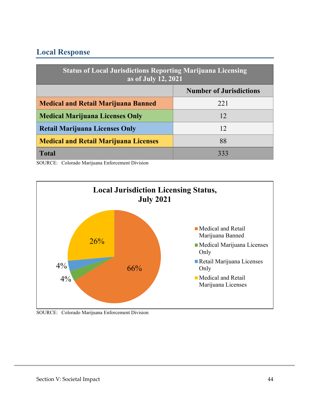### **Local Response**

| <b>Status of Local Jurisdictions Reporting Marijuana Licensing</b><br>as of July 12, 2021 |                                |  |  |
|-------------------------------------------------------------------------------------------|--------------------------------|--|--|
|                                                                                           | <b>Number of Jurisdictions</b> |  |  |
| <b>Medical and Retail Marijuana Banned</b>                                                | 221                            |  |  |
| <b>Medical Marijuana Licenses Only</b>                                                    | 12                             |  |  |
| <b>Retail Marijuana Licenses Only</b><br>12                                               |                                |  |  |
| <b>Medical and Retail Marijuana Licenses</b>                                              | 88                             |  |  |
| <b>Total</b>                                                                              | 333                            |  |  |

SOURCE: Colorado Marijuana Enforcement Division

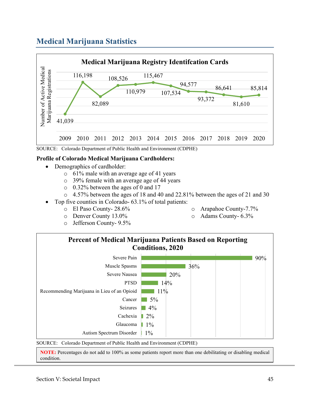## <span id="page-47-0"></span>**Medical Marijuana Statistics**



#### **Profile of Colorado Medical Marijuana Cardholders:**

- Demographics of cardholder:
	- o 61% male with an average age of 41 years
	- o 39% female with an average age of 44 years
	- o 0.32% between the ages of 0 and 17
	- $\circ$  4.57% between the ages of 18 and 40 and 22.81% between the ages of 21 and 30
- Top five counties in Colorado- 63.1% of total patients:
	- o El Paso County- 28.6%
	- o Denver County 13.0%
	- o Jefferson County- 9.5%
- o Arapahoe County-7.7%
- o Adams County- 6.3%



**NOTE:** Percentages do not add to 100% as some patients report more than one debilitating or disabling medical condition.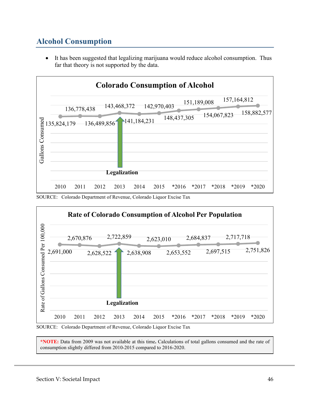## <span id="page-48-0"></span>**Alcohol Consumption**

• It has been suggested that legalizing marijuana would reduce alcohol consumption. Thus far that theory is not supported by the data.



SOURCE: Colorado Department of Revenue, Colorado Liquor Excise Tax



SOURCE: Colorado Department of Revenue, Colorado Liquor Excise Tax

**\*NOTE:** Data from 2009 was not available at this time**.** Calculations of total gallons consumed and the rate of consumption slightly differed from 2010-2015 compared to 2016-2020.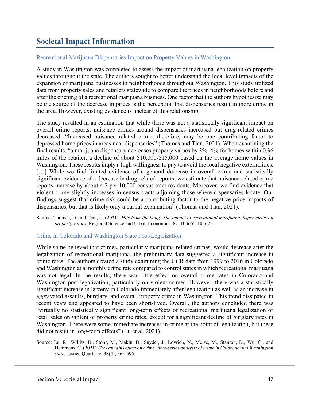### <span id="page-49-0"></span>**Societal Impact Information**

#### Recreational Marijuana Dispensaries Impact on Property Values in Washington

A study in Washington was completed to assess the impact of marijuana legalization on property values throughout the state. The authors sought to better understand the local level impacts of the expansion of marijuana businesses in neighborhoods throughout Washington. This study utilized data from property sales and retailers statewide to compare the prices in neighborhoods before and after the opening of a recreational marijuana business. One factor that the authors hypothesize may be the source of the decrease in prices is the perception that dispensaries result in more crime in the area. However, existing evidence is unclear of this relationship.

The study resulted in an estimation that while there was not a statistically significant impact on overall crime reports, nuisance crimes around dispensaries increased but drug-related crimes decreased. "Increased nuisance related crime, therefore, may be one contributing factor to depressed home prices in areas near dispensaries" (Thomas and Tian, 2021). When examining the final results, "a marijuana dispensary decreases property values by 3%–4% for homes within 0.36 miles of the retailer, a decline of about \$10,000-\$15,000 based on the average home values in Washington. These results imply a high willingness to pay to avoid the local negative externalities. [...] While we find limited evidence of a general decrease in overall crime and statistically significant evidence of a decrease in drug-related reports, we estimate that nuisance-related crime reports increase by about 4.2 per 10,000 census tract residents. Moreover, we find evidence that violent crime slightly increases in census tracts adjoining those where dispensaries locate. Our findings suggest that crime risk could be a contributing factor to the negative price impacts of dispensaries, but that is likely only a partial explanation" (Thomas and Tian, 2021).

Source: Thomas, D. and Tian, L. (2021). *Hits from the bong: The impact of recreational marijuana dispensaries on property values.* Regional Science and Urban Economics, 87, 103655-103675.

#### Crime in Colorado and Washington State Post-Legalization

While some believed that crimes, particularly marijuana-related crimes, would decrease after the legalization of recreational marijuana, the preliminary data suggested a significant increase in crime rates. The authors created a study examining the UCR data from 1999 to 2016 in Colorado and Washington at a monthly crime rate compared to control states in which recreational marijuana was not legal. In the results, there was little effect on overall crime rates in Colorado and Washington post-legalization, particularly on violent crimes. However, there was a statistically significant increase in larceny in Colorado immediately after legalization as well as an increase in aggravated assaults, burglary, and overall property crime in Washington. This trend dissipated in recent years and appeared to have been short-lived. Overall, the authors concluded there was "virtually no statistically significant long-term effects of recreational marijuana legalization or retail sales on violent or property crime rates, except for a significant decline of burglary rates in Washington. There were some immediate increases in crime at the point of legalization, but these did not result in long-term effects" (Lu et al, 2021).

Source: Lu, R., Willits, D., Stohr, M., Makin, D., Snyder, J., Lovrich, N., Meize, M., Stanton, D., Wu, G., and Hemmens, C. (2021) *The cannabis effect on crime: time-series analysis of crime in Colorado and Washington state.* Justice Quarterly, 38(4), 565-595.